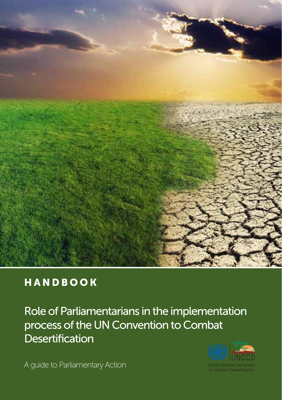

## HANDBOOK

Role of Parliamentarians in the implementation process of the UN Convention to Combat **Desertification** 

A guide to Parliamentary Action

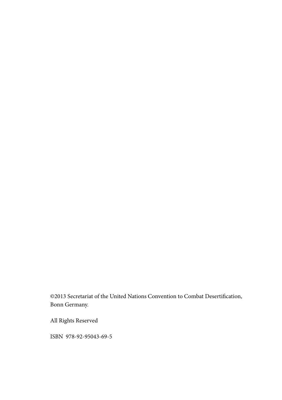©2013 Secretariat of the United Nations Convention to Combat Desertification, Bonn Germany.

All Rights Reserved

ISBN 978-92-95043-69-5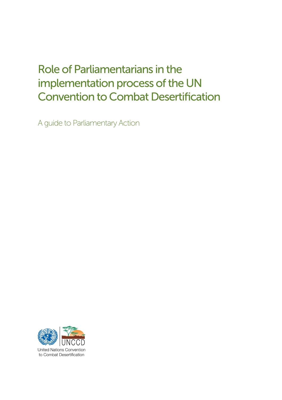# Role of Parliamentarians in the implementation process of the UN Convention to Combat Desertification

A guide to Parliamentary Action

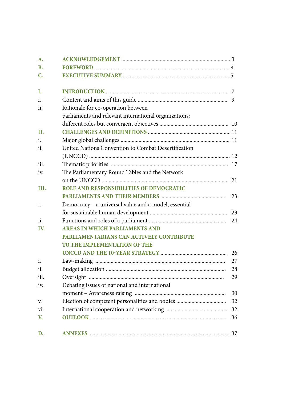| A.        |                                                       |    |
|-----------|-------------------------------------------------------|----|
| <b>B.</b> |                                                       |    |
| C.        |                                                       |    |
| I.        |                                                       |    |
| i.        |                                                       |    |
| ii.       | Rationale for co-operation between                    |    |
|           | parliaments and relevant international organizations: |    |
|           |                                                       |    |
| П.        |                                                       |    |
| i.        |                                                       |    |
| ii.       | United Nations Convention to Combat Desertification   |    |
|           |                                                       |    |
| iii.      |                                                       |    |
| iv.       | The Parliamentary Round Tables and the Network        |    |
|           |                                                       |    |
| III.      | <b>ROLE AND RESPONSIBILITIES OF DEMOCRATIC</b>        |    |
|           |                                                       | 23 |
| i.        | Democracy - a universal value and a model, essential  |    |
|           |                                                       | 23 |
| ii.       |                                                       | 24 |
| IV.       | <b>AREAS IN WHICH PARLIAMENTS AND</b>                 |    |
|           | <b>PARLIAMENTARIANS CAN ACTIVELY CONTRIBUTE</b>       |    |
|           | TO THE IMPLEMENTATION OF THE                          |    |
|           |                                                       | 26 |
| i.        |                                                       | 27 |
| ii.       |                                                       | 28 |
| iii.      |                                                       | 29 |
| iv.       | Debating issues of national and international         |    |
|           |                                                       | 30 |
| V.        |                                                       | 32 |
| vi.       |                                                       |    |
| V.        |                                                       |    |
| D.        |                                                       |    |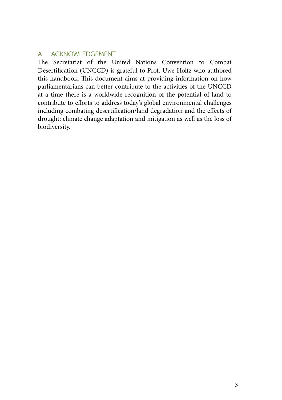## A. ACKNOWLEDGEMENT

The Secretariat of the United Nations Convention to Combat Desertification (UNCCD) is grateful to Prof. Uwe Holtz who authored this handbook. This document aims at providing information on how parliamentarians can better contribute to the activities of the UNCCD at a time there is a worldwide recognition of the potential of land to contribute to efforts to address today's global environmental challenges including combating desertification/land degradation and the effects of drought; climate change adaptation and mitigation as well as the loss of biodiversity.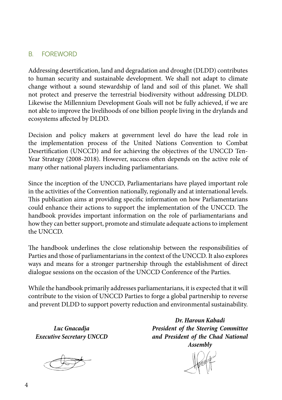## B. Foreword

Addressing desertification, land and degradation and drought (DLDD) contributes to human security and sustainable development. We shall not adapt to climate change without a sound stewardship of land and soil of this planet. We shall not protect and preserve the terrestrial biodiversity without addressing DLDD. Likewise the Millennium Development Goals will not be fully achieved, if we are not able to improve the livelihoods of one billion people living in the drylands and ecosystems affected by DLDD.

Decision and policy makers at government level do have the lead role in the implementation process of the United Nations Convention to Combat Desertification (UNCCD) and for achieving the objectives of the UNCCD Ten-Year Strategy (2008-2018). However, success often depends on the active role of many other national players including parliamentarians.

Since the inception of the UNCCD, Parliamentarians have played important role in the activities of the Convention nationally, regionally and at international levels. This publication aims at providing specific information on how Parliamentarians could enhance their actions to support the implementation of the UNCCD. The handbook provides important information on the role of parliamentarians and how they can better support, promote and stimulate adequate actions to implement the UNCCD.

The handbook underlines the close relationship between the responsibilities of Parties and those of parliamentarians in the context of the UNCCD. It also explores ways and means for a stronger partnership through the establishment of direct dialogue sessions on the occasion of the UNCCD Conference of the Parties.

While the handbook primarily addresses parliamentarians, it is expected that it will contribute to the vision of UNCCD Parties to forge a global partnership to reverse and prevent DLDD to support poverty reduction and environmental sustainability.

*Luc Gnacadja Executive Secretary UNCCD*

*Dr. Haroun Kabadi President of the Steering Committee and President of the Chad National Assembly*

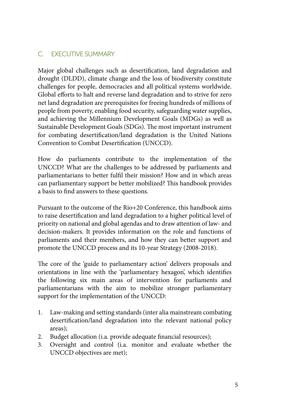## C. EXECUTIVE SUMMARY

Major global challenges such as desertification, land degradation and drought (DLDD), climate change and the loss of biodiversity constitute challenges for people, democracies and all political systems worldwide. Global efforts to halt and reverse land degradation and to strive for zero net land degradation are prerequisites for freeing hundreds of millions of people from poverty, enabling food security, safeguarding water supplies, and achieving the Millennium Development Goals (MDGs) as well as Sustainable Development Goals (SDGs). The most important instrument for combating desertification/land degradation is the United Nations Convention to Combat Desertification (UNCCD).

How do parliaments contribute to the implementation of the UNCCD? What are the challenges to be addressed by parliaments and parliamentarians to better fulfil their mission? How and in which areas can parliamentary support be better mobilized? This handbook provides a basis to find answers to these questions.

Pursuant to the outcome of the Rio+20 Conference, this handbook aims to raise desertification and land degradation to a higher political level of priority on national and global agendas and to draw attention of law- and decision-makers. It provides information on the role and functions of parliaments and their members, and how they can better support and promote the UNCCD process and its 10-year Strategy (2008-2018).

The core of the 'guide to parliamentary action' delivers proposals and orientations in line with the 'parliamentary hexagon', which identifies the following six main areas of intervention for parliaments and parliamentarians with the aim to mobilize stronger parliamentary support for the implementation of the UNCCD:

- 1. Law-making and setting standards (inter alia mainstream combating desertification/land degradation into the relevant national policy areas);
- 2. Budget allocation (i.a. provide adequate financial resources);
- 3. Oversight and control (i.a. monitor and evaluate whether the UNCCD objectives are met);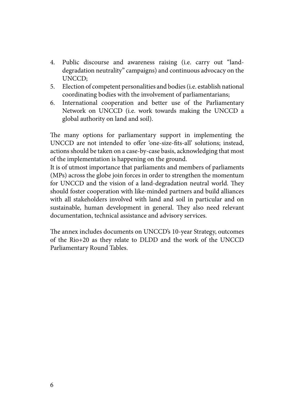- 4. Public discourse and awareness raising (i.e. carry out "landdegradation neutrality" campaigns) and continuous advocacy on the UNCCD;
- 5. Election of competent personalities and bodies (i.e. establish national coordinating bodies with the involvement of parliamentarians;
- 6. International cooperation and better use of the Parliamentary Network on UNCCD (i.e. work towards making the UNCCD a global authority on land and soil).

The many options for parliamentary support in implementing the UNCCD are not intended to offer 'one-size-fits-all' solutions; instead, actions should be taken on a case-by-case basis, acknowledging that most of the implementation is happening on the ground.

It is of utmost importance that parliaments and members of parliaments (MPs) across the globe join forces in order to strengthen the momentum for UNCCD and the vision of a land-degradation neutral world. They should foster cooperation with like-minded partners and build alliances with all stakeholders involved with land and soil in particular and on sustainable, human development in general. They also need relevant documentation, technical assistance and advisory services.

The annex includes documents on UNCCD's 10-year Strategy, outcomes of the Rio+20 as they relate to DLDD and the work of the UNCCD Parliamentary Round Tables.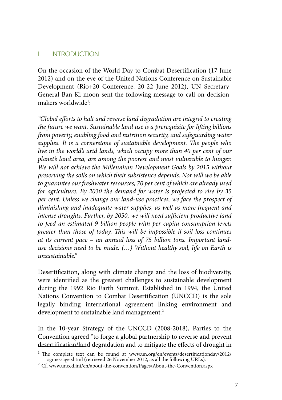## I. INTRODUCTION

On the occasion of the World Day to Combat Desertification (17 June 2012) and on the eve of the United Nations Conference on Sustainable Development (Rio+20 Conference, 20-22 June 2012), UN Secretary-General Ban Ki-moon sent the following message to call on decisionmakers worldwide<sup>1</sup>:

*"Global efforts to halt and reverse land degradation are integral to creating the future we want. Sustainable land use is a prerequisite for lifting billions from poverty, enabling food and nutrition security, and safeguarding water supplies. It is a cornerstone of sustainable development. The people who live in the world's arid lands, which occupy more than 40 per cent of our planet's land area, are among the poorest and most vulnerable to hunger. We will not achieve the Millennium Development Goals by 2015 without preserving the soils on which their subsistence depends. Nor will we be able to guarantee our freshwater resources, 70 per cent of which are already used for agriculture. By 2030 the demand for water is projected to rise by 35 per cent. Unless we change our land-use practices, we face the prospect of diminishing and inadequate water supplies, as well as more frequent and intense droughts. Further, by 2050, we will need sufficient productive land to feed an estimated 9 billion people with per capita consumption levels greater than those of today. This will be impossible if soil loss continues at its current pace – an annual loss of 75 billion tons. Important landuse decisions need to be made. (…) Without healthy soil, life on Earth is unsustainable."*

Desertification, along with climate change and the loss of biodiversity, were identified as the greatest challenges to sustainable development during the 1992 Rio Earth Summit. Established in 1994, the United Nations Convention to Combat Desertification (UNCCD) is the sole legally binding international agreement linking environment and development to sustainable land management.<sup>2</sup>

In the 10-year Strategy of the UNCCD (2008-2018), Parties to the Convention agreed "to forge a global partnership to reverse and prevent desertification/land degradation and to mitigate the effects of drought in

 $^1$  The complete text can be found at www.un.org/en/events/desertificationday/2012/ sgmessage.shtml (retrieved 26 November 2012, as all the following URLs).

<sup>&</sup>lt;sup>2</sup> Cf. www.unccd.int/en/about-the-convention/Pages/About-the-Convention.aspx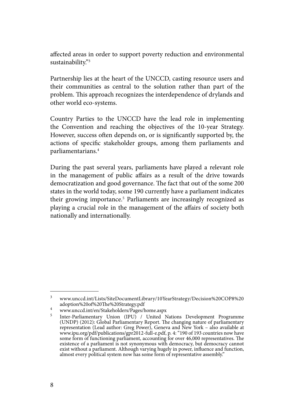affected areas in order to support poverty reduction and environmental sustainability."3

Partnership lies at the heart of the UNCCD, casting resource users and their communities as central to the solution rather than part of the problem. This approach recognizes the interdependence of drylands and other world eco-systems.

Country Parties to the UNCCD have the lead role in implementing the Convention and reaching the objectives of the 10-year Strategy. However, success often depends on, or is significantly supported by, the actions of specific stakeholder groups, among them parliaments and parliamentarians.4

During the past several years, parliaments have played a relevant role in the management of public affairs as a result of the drive towards democratization and good governance. The fact that out of the some 200 states in the world today, some 190 currently have a parliament indicates their growing importance.<sup>5</sup> Parliaments are increasingly recognized as playing a crucial role in the management of the affairs of society both nationally and internationally.

<sup>3</sup> www.unccd.int/Lists/SiteDocumentLibrary/10YearStrategy/Decision%20COP8%20

adoption%20of%20The%20Strategy.pdf<br><sup>4</sup> www.unccd.int/en/Stakeholders/Pages/home.aspx<br><sup>5</sup> Inter-Parliamentary Union (IPU) / United Nations Development Programme (UNDP) (2012): Global Parliamentary Report. The changing nature of parliamentary representation (Lead author: Greg Power), Geneva and New York – also available at www.ipu.org/pdf/publications/gpr2012-full-e.pdf, p. 4: "190 of 193 countries now have some form of functioning parliament, accounting for over 46,000 representatives. The existence of a parliament is not synonymous with democracy, but democracy cannot exist without a parliament. Although varying hugely in power, influence and function, almost every political system now has some form of representative assembly."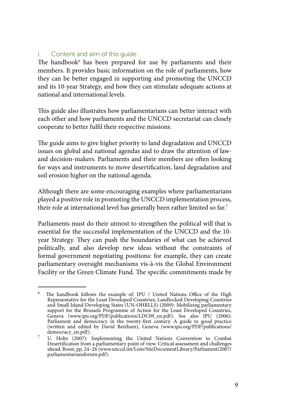## i. Content and aim of this guide

The handbook $^6$  has been prepared for use by parliaments and their members. It provides basic information on the role of parliaments, how they can be better engaged in supporting and promoting the UNCCD and its 10-year Strategy, and how they can stimulate adequate actions at national and international levels.

This guide also illustrates how parliamentarians can better interact with each other and how parliaments and the UNCCD secretariat can closely cooperate to better fulfil their respective missions.

The guide aims to give higher priority to land degradation and UNCCD issues on global and national agendas and to draw the attention of lawand decision-makers. Parliaments and their members are often looking for ways and instruments to move desertification, land degradation and soil erosion higher on the national agenda.

Although there are some encouraging examples where parliamentarians played a positive role in promoting the UNCCD implementation process, their role at international level has generally been rather limited so far.<sup>7</sup>

Parliaments must do their utmost to strengthen the political will that is essential for the successful implementation of the UNCCD and the 10 year Strategy. They can push the boundaries of what can be achieved politically, and also develop new ideas without the constraints of formal government negotiating positions: for example, they can create parliamentary oversight mechanisms vis-à-vis the Global Environment Facility or the Green Climate Fund. The specific commitments made by

<sup>6</sup> The handbook follows the example of: IPU / United Nations Office of the High Representative for the Least Developed Countries, Landlocked Developing Countries and Small Island Developing States (UN-OHRLLS) (2009): Mobilizing parliamentary support for the Brussels Programme of Action for the Least Developed Countries, Geneva (www.ipu.org/PDF/publications/LDC09\_en.pdf). See also IPU (2006): Parliament and democracy in the twenty-first century. A guide to good practice (written and edited by David Beetham), Geneva (www.ipu.org/PDF/publications/

<sup>&</sup>lt;sup>7</sup> U. Holtz (2007): Implementing the United Nations Convention to Combat Desertification from a parliamentary point of view. Critical assessment and challenges ahead, Bonn, pp. 24–26 (www.unccd.int/Lists/SiteDocumentLibrary/Parliament/2007/ parliamentariansforum.pdf).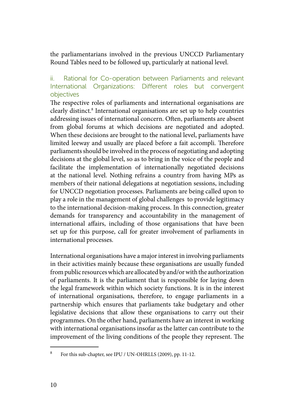the parliamentarians involved in the previous UNCCD Parliamentary Round Tables need to be followed up, particularly at national level.

## ii. Rational for Co-operation between Parliaments and relevant International Organizations: Different roles but convergent objectives

The respective roles of parliaments and international organisations are clearly distinct.8 International organisations are set up to help countries addressing issues of international concern. Often, parliaments are absent from global forums at which decisions are negotiated and adopted. When these decisions are brought to the national level, parliaments have limited leeway and usually are placed before a fait accompli. Therefore parliaments should be involved in the process of negotiating and adopting decisions at the global level, so as to bring in the voice of the people and facilitate the implementation of internationally negotiated decisions at the national level. Nothing refrains a country from having MPs as members of their national delegations at negotiation sessions, including for UNCCD negotiation processes. Parliaments are being called upon to play a role in the management of global challenges to provide legitimacy to the international decision-making process. In this connection, greater demands for transparency and accountability in the management of international affairs, including of those organisations that have been set up for this purpose, call for greater involvement of parliaments in international processes.

International organisations have a major interest in involving parliaments in their activities mainly because these organisations are usually funded from public resources which are allocated by and/or with the authorization of parliaments. It is the parliament that is responsible for laying down the legal framework within which society functions. It is in the interest of international organisations, therefore, to engage parliaments in a partnership which ensures that parliaments take budgetary and other legislative decisions that allow these organisations to carry out their programmes. On the other hand, parliaments have an interest in working with international organisations insofar as the latter can contribute to the improvement of the living conditions of the people they represent. The

<sup>8</sup> For this sub-chapter, see IPU / UN-OHRLLS (2009), pp. 11-12.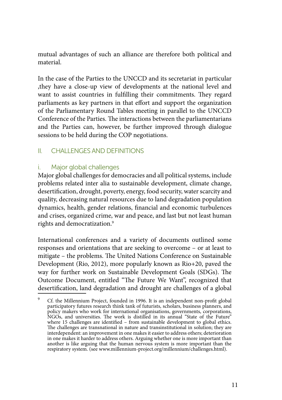mutual advantages of such an alliance are therefore both political and material.

In the case of the Parties to the UNCCD and its secretariat in particular ,they have a close-up view of developments at the national level and want to assist countries in fulfilling their commitments. They regard parliaments as key partners in that effort and support the organization of the Parliamentary Round Tables meeting in parallel to the UNCCD Conference of the Parties. The interactions between the parliamentarians and the Parties can, however, be further improved through dialogue sessions to be held during the COP negotiations.

## II. CHALLENGES AND DEFINITIONS

## i. Major global challenges

Major global challenges for democracies and all political systems, include problems related inter alia to sustainable development, climate change, desertification, drought, poverty, energy, food security, water scarcity and quality, decreasing natural resources due to land degradation population dynamics, health, gender relations, financial and economic turbulences and crises, organized crime, war and peace, and last but not least human rights and democratization.<sup>9</sup>

International conferences and a variety of documents outlined some responses and orientations that are seeking to overcome – or at least to mitigate – the problems. The United Nations Conference on Sustainable Development (Rio, 2012), more popularly known as Rio+20, paved the way for further work on Sustainable Development Goals (SDGs). The Outcome Document, entitled "The Future We Want", recognized that desertification, land degradation and drought are challenges of a global

Cf. the Millennium Project, founded in 1996. It is an independent non-profit global participatory futures research think tank of futurists, scholars, business planners, and policy makers who work for international organisations, governments, corporations, NGOs, and universities. The work is distilled in its annual "State of the Future" where 15 challenges are identified – from sustainable development to global ethics. The challenges are transnational in nature and transinstitutional in solution; they are interdependent: an improvement in one makes it easier to address others; deterioration in one makes it harder to address others. Arguing whether one is more important than another is like arguing that the human nervous system is more important than the another is like arguing that the human nervous system is more important than the respiratory system. (see www.millennium-project.org/millennium/challenges.html).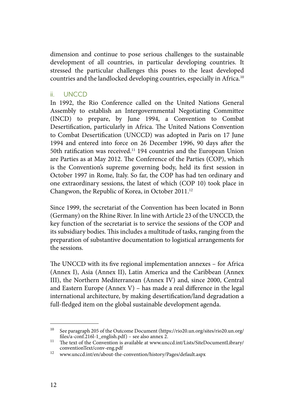dimension and continue to pose serious challenges to the sustainable development of all countries, in particular developing countries. It stressed the particular challenges this poses to the least developed countries and the landlocked developing countries, especially in Africa.10

#### ii. UNCCD

In 1992, the Rio Conference called on the United Nations General Assembly to establish an Intergovernmental Negotiating Committee (INCD) to prepare, by June 1994, a Convention to Combat Desertification, particularly in Africa. The United Nations Convention to Combat Desertification (UNCCD) was adopted in Paris on 17 June 1994 and entered into force on 26 December 1996, 90 days after the 50th ratification was received.11 194 countries and the European Union are Parties as at May 2012. The Conference of the Parties (COP), which is the Convention's supreme governing body, held its first session in October 1997 in Rome, Italy. So far, the COP has had ten ordinary and one extraordinary sessions, the latest of which (COP 10) took place in Changwon, the Republic of Korea, in October 2011.<sup>12</sup>

Since 1999, the secretariat of the Convention has been located in Bonn (Germany) on the Rhine River. In line with Article 23 of the UNCCD, the key function of the secretariat is to service the sessions of the COP and its subsidiary bodies. This includes a multitude of tasks, ranging from the preparation of substantive documentation to logistical arrangements for the sessions.

The UNCCD with its five regional implementation annexes – for Africa (Annex I), Asia (Annex II), Latin America and the Caribbean (Annex III), the Northern Mediterranean (Annex IV) and, since 2000, Central and Eastern Europe (Annex V) – has made a real difference in the legal international architecture, by making desertification/land degradation a full-fledged item on the global sustainable development agenda.

 $^{10}$  See paragraph 205 of the Outcome Document (https://rio20.un.org/sites/rio20.un.org/ files/a-conf.216l-1\_english.pdf) – see also annex 2.

Film-1. The text of the Convention is available at www.unccd.int/Lists/SiteDocumentLibrary/<br>
conventionText/conv-eng.pdf

<sup>&</sup>lt;sup>12</sup> www.unccd.int/en/about-the-convention/history/Pages/default.aspx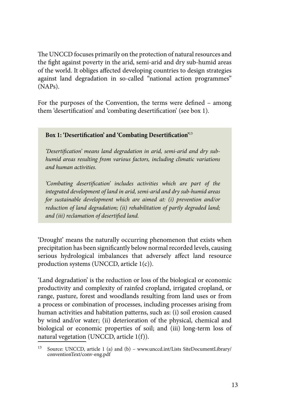The UNCCD focuses primarily on the protection of natural resources and the fight against poverty in the arid, semi-arid and dry sub-humid areas of the world. It obliges affected developing countries to design strategies against land degradation in so-called "national action programmes" (NAPs).

For the purposes of the Convention, the terms were defined – among them 'desertification' and 'combating desertification' (see box 1).

## **Box 1: 'Desertification' and 'Combating Desertification'**<sup>13</sup>

*'Desertification' means land degradation in arid, semi-arid and dry subhumid areas resulting from various factors, including climatic variations and human activities.* 

*'Combating desertification' includes activities which are part of the integrated development of land in arid, semi-arid and dry sub-humid areas for sustainable development which are aimed at: (i) prevention and/or reduction of land degradation; (ii) rehabilitation of partly degraded land; and (iii) reclamation of desertified land.*

'Drought' means the naturally occurring phenomenon that exists when precipitation has been significantly below normal recorded levels, causing serious hydrological imbalances that adversely affect land resource production systems (UNCCD, article 1(c)).

'Land degradation' is the reduction or loss of the biological or economic productivity and complexity of rainfed cropland, irrigated cropland, or range, pasture, forest and woodlands resulting from land uses or from a process or combination of processes, including processes arising from human activities and habitation patterns, such as: (i) soil erosion caused by wind and/or water; (ii) deterioration of the physical, chemical and biological or economic properties of soil; and (iii) long-term loss of natural vegetation (UNCCD, article 1(f)).

<sup>13</sup> Source: UNCCD, article 1 (a) and (b) – www.unccd.int/Lists SiteDocumentLibrary/ conventionText/conv-eng.pdf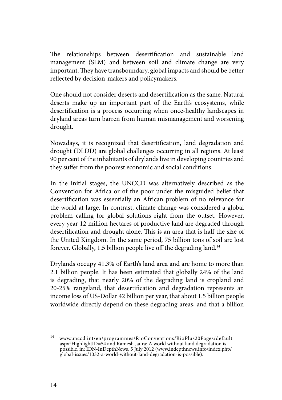The relationships between desertification and sustainable land management (SLM) and between soil and climate change are very important. They have transboundary, global impacts and should be better reflected by decision-makers and policymakers.

One should not consider deserts and desertification as the same. Natural deserts make up an important part of the Earth's ecosystems, while desertification is a process occurring when once-healthy landscapes in dryland areas turn barren from human mismanagement and worsening drought.

Nowadays, it is recognized that desertification, land degradation and drought (DLDD) are global challenges occurring in all regions. At least 90 per cent of the inhabitants of drylands live in developing countries and they suffer from the poorest economic and social conditions.

In the initial stages, the UNCCD was alternatively described as the Convention for Africa or of the poor under the misguided belief that desertification was essentially an African problem of no relevance for the world at large. In contrast, climate change was considered a global problem calling for global solutions right from the outset. However, every year 12 million hectares of productive land are degraded through desertification and drought alone. This is an area that is half the size of the United Kingdom. In the same period, 75 billion tons of soil are lost forever. Globally, 1.5 billion people live off the degrading land.<sup>14</sup>

Drylands occupy 41.3% of Earth's land area and are home to more than 2.1 billion people. It has been estimated that globally 24% of the land is degrading, that nearly 20% of the degrading land is cropland and 20-25% rangeland, that desertification and degradation represents an income loss of US-Dollar 42 billion per year, that about 1.5 billion people worldwide directly depend on these degrading areas, and that a billion

<sup>14</sup> www.unccd.int/en/programmes/RioConventions/RioPlus20Pages/default aspx?HighlightID=54 and Ramesh Jaura: A world without land degradation is possible, in: IDN-InDepthNews, 5 July 2012 (www.indepthnews.info/index.php/ global-issues/1032-a-world-without-land-degradation-is-possible).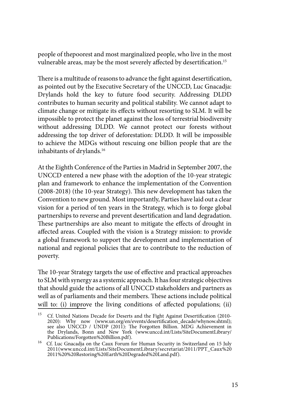people of thepoorest and most marginalized people, who live in the most vulnerable areas, may be the most severely affected by desertification.<sup>15</sup>

There is a multitude of reasons to advance the fight against desertification, as pointed out by the Executive Secretary of the UNCCD, Luc Gnacadja: Drylands hold the key to future food security. Addressing DLDD contributes to human security and political stability. We cannot adapt to climate change or mitigate its effects without resorting to SLM. It will be impossible to protect the planet against the loss of terrestrial biodiversity without addressing DLDD. We cannot protect our forests without addressing the top driver of deforestation: DLDD. It will be impossible to achieve the MDGs without rescuing one billion people that are the inhabitants of drylands.<sup>16</sup>

At the Eighth Conference of the Parties in Madrid in September 2007, the UNCCD entered a new phase with the adoption of the 10-year strategic plan and framework to enhance the implementation of the Convention (2008-2018) (the 10-year Strategy). This new development has taken the Convention to new ground. Most importantly, Parties have laid out a clear vision for a period of ten years in the Strategy, which is to forge global partnerships to reverse and prevent desertification and land degradation. These partnerships are also meant to mitigate the effects of drought in affected areas. Coupled with the vision is a Strategy mission: to provide a global framework to support the development and implementation of national and regional policies that are to contribute to the reduction of poverty.

The 10-year Strategy targets the use of effective and practical approaches to SLM with synergy as a systemic approach. It has four strategic objectives that should guide the actions of all UNCCD stakeholders and partners as well as of parliaments and their members. These actions include political will to: (i) improve the living conditions of affected populations; (ii)

<sup>&</sup>lt;sup>15</sup> Cf. United Nations Decade for Deserts and the Fight Against Desertification (2010-2020): Why now (www.un.org/en/events/desertification\_decade/whynow.shtml); see also UNCCD / UNDP (2011): The Forgotten Billion. MDG Achievement in the Drylands, Bonn and New York (www.unccd.int/Lists/SiteDocumentLibrary/

Publications/Forgotten%20Billion.pdf). 16 Cf. Luc Gnacadja on the Caux Forum for Human Security in Switzerland on 15 July 2011(www.unccd.int/Lists/SiteDocumentLibrary/secretariat/2011/PPT\_Caux%20 2011%20%20Restoring%20Earth%20Degraded%20Land.pdf).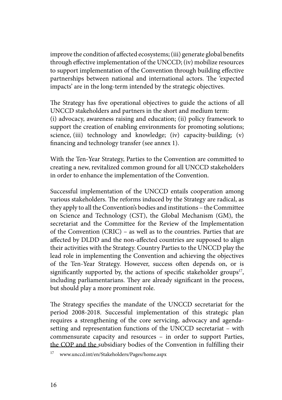improve the condition of affected ecosystems; (iii) generate global benefits through effective implementation of the UNCCD; (iv) mobilize resources to support implementation of the Convention through building effective partnerships between national and international actors. The 'expected impacts' are in the long-term intended by the strategic objectives.

The Strategy has five operational objectives to guide the actions of all UNCCD stakeholders and partners in the short and medium term: (i) advocacy, awareness raising and education; (ii) policy framework to support the creation of enabling environments for promoting solutions; science, (iii) technology and knowledge; (iv) capacity-building; (v) financing and technology transfer (see annex 1).

With the Ten-Year Strategy, Parties to the Convention are committed to creating a new, revitalized common ground for all UNCCD stakeholders in order to enhance the implementation of the Convention.

Successful implementation of the UNCCD entails cooperation among various stakeholders. The reforms induced by the Strategy are radical, as they apply to all the Convention's bodies and institutions – the Committee on Science and Technology (CST), the Global Mechanism (GM), the secretariat and the Committee for the Review of the Implementation of the Convention (CRIC) – as well as to the countries. Parties that are affected by DLDD and the non-affected countries are supposed to align their activities with the Strategy. Country Parties to the UNCCD play the lead role in implementing the Convention and achieving the objectives of the Ten-Year Strategy. However, success often depends on, or is significantly supported by, the actions of specific stakeholder groups $17$ , including parliamentarians. They are already significant in the process, but should play a more prominent role.

The Strategy specifies the mandate of the UNCCD secretariat for the period 2008-2018. Successful implementation of this strategic plan requires a strengthening of the core servicing, advocacy and agendasetting and representation functions of the UNCCD secretariat – with commensurate capacity and resources – in order to support Parties, the COP and the subsidiary bodies of the Convention in fulfilling their

<sup>17</sup> www.unccd.int/en/Stakeholders/Pages/home.aspx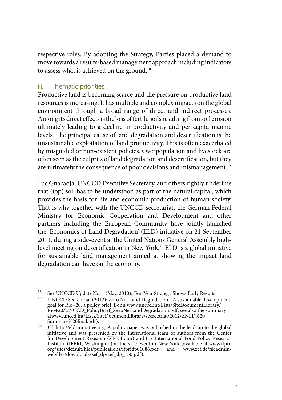respective roles. By adopting the Strategy, Parties placed a demand to move towards a results-based management approach including indicators to assess what is achieved on the ground.<sup>18</sup>

## iii. Thematic priorities

Productive land is becoming scarce and the pressure on productive land resources is increasing. It has multiple and complex impacts on the global environment through a broad range of direct and indirect processes. Among its direct effects is the loss of fertile soils resulting from soil erosion ultimately leading to a decline in productivity and per capita income levels. The principal cause of land degradation and desertification is the unsustainable exploitation of land productivity. This is often exacerbated by misguided or non-existent policies. Overpopulation and livestock are often seen as the culprits of land degradation and desertification, but they are ultimately the consequence of poor decisions and mismanagement.<sup>19</sup>

Luc Gnacadja, UNCCD Executive Secretary, and others rightly underline that (top) soil has to be understood as part of the natural capital, which provides the basis for life and economic production of human society. That is why together with the UNCCD secretariat, the German Federal Ministry for Economic Cooperation and Development and other partners including the European Community have jointly launched the 'Economics of Land Degradation' (ELD) initiative on 21 September 2011, during a side-event at the United Nations General Assembly highlevel meeting on desertification in New York.20 ELD is a global initiative for sustainable land management aimed at showing the impact land degradation can have on the economy.

<sup>&</sup>lt;sup>18</sup> See UNCCD Update No. 1 (May, 2010): Ten-Year Strategy Shows Early Results.<br><sup>19</sup> UNCCD Secretariat (2012): Zero Net Land Degradation - A sustainable development goal for Rio+20, a policy brief, Bonn www.unccd.int/Lists/SiteDocumentLibrary/ Rio+20/UNCCD\_PolicyBrief\_ZeroNetLandDegradation.pdf; see also the summary atwww.unccd.int/Lists/SiteDocumentLibrary/secretariat/2012/ZNLD%20

Summary%20final.pdf).<br><sup>20</sup> Cf. http://eld-initiative.org. A policy paper was published in the lead-up to the global initiative and was presented by the international team of authors from the Center for Development Research (ZEF, Bonn) and the International Food Policy Research Institute (IFPRI, Washington) at the side-event in New York (available at www.ifpri. org/sites/default/files/publications/ifpridp01086.pdf and www.zef.de/fileadmin/ webfiles/downloads/zef\_dp/zef\_dp\_150.pdf).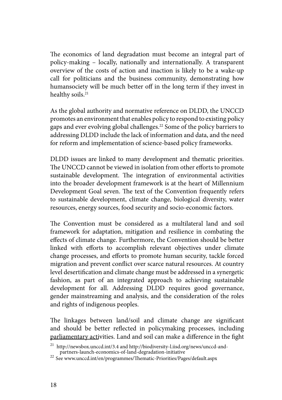The economics of land degradation must become an integral part of policy-making – locally, nationally and internationally. A transparent overview of the costs of action and inaction is likely to be a wake-up call for politicians and the business community, demonstrating how humansociety will be much better off in the long term if they invest in healthy soils.<sup>21</sup>

As the global authority and normative reference on DLDD, the UNCCD promotes an environment that enables policy to respond to existing policy gaps and ever evolving global challenges.<sup>22</sup> Some of the policy barriers to addressing DLDD include the lack of information and data, and the need for reform and implementation of science-based policy frameworks.

DLDD issues are linked to many development and thematic priorities. The UNCCD cannot be viewed in isolation from other efforts to promote sustainable development. The integration of environmental activities into the broader development framework is at the heart of Millennium Development Goal seven. The text of the Convention frequently refers to sustainable development, climate change, biological diversity, water resources, energy sources, food security and socio-economic factors.

The Convention must be considered as a multilateral land and soil framework for adaptation, mitigation and resilience in combating the effects of climate change. Furthermore, the Convention should be better linked with efforts to accomplish relevant objectives under climate change processes, and efforts to promote human security, tackle forced migration and prevent conflict over scarce natural resources. At country level desertification and climate change must be addressed in a synergetic fashion, as part of an integrated approach to achieving sustainable development for all. Addressing DLDD requires good governance, gender mainstreaming and analysis, and the consideration of the roles and rights of indigenous peoples.

The linkages between land/soil and climate change are significant and should be better reflected in policymaking processes, including parliamentary activities. Land and soil can make a difference in the fight

<sup>&</sup>lt;sup>21</sup> http://newsbox.unccd.int/3.4 and http://biodiversity-l.iisd.org/news/unccd-and-<br>partners-launch-economics-of-land-degradation-initiative

<sup>&</sup>lt;sup>22</sup> See www.unccd.int/en/programmes/Thematic-Priorities/Pages/default.aspx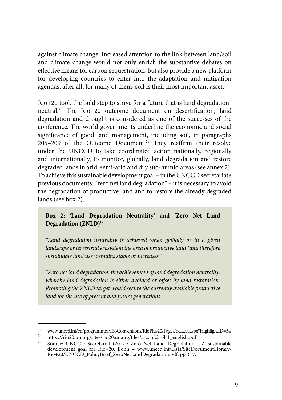against climate change. Increased attention to the link between land/soil and climate change would not only enrich the substantive debates on effective means for carbon sequestration, but also provide a new platform for developing countries to enter into the adaptation and mitigation agendas; after all, for many of them, soil is their most important asset.

Rio+20 took the bold step to strive for a future that is land degradationneutral.23 The Rio+20 outcome document on desertification, land degradation and drought is considered as one of the successes of the conference. The world governments underline the economic and social significance of good land management, including soil, in paragraphs  $205-209$  of the Outcome Document.<sup>24</sup> They reaffirm their resolve under the UNCCD to take coordinated action nationally, regionally and internationally, to monitor, globally, land degradation and restore degraded lands in arid, semi-arid and dry sub-humid areas (see annex 2). To achieve this sustainable development goal – in the UNCCD secretariat's previous documents: "zero net land degradation" – it is necessary to avoid the degradation of productive land and to restore the already degraded lands (see box 2).

## **Box 2: 'Land Degradation Neutrality' and 'Zero Net Land Degradation (ZNLD)'**<sup>25</sup>

*"Land degradation neutrality is achieved when globally or in a given landscape or terrestrial ecosystem the area of productive land (and therefore sustainable land use) remains stable or increases."* 

*"Zero net land degradation: the achievement of land degradation neutrality, whereby land degradation is either avoided or offset by land restoration. Promoting the ZNLD target would secure the currently available productive land for the use of present and future generations."*

www.unccd.int/en/programmes/RioConventions/RioPlus20/Pages/default.aspx?HighlightID=54<br>
https://rio20.un.org/sites/rio20.un.org/files/a-conf.216l-1\_english.pdf<br>
Source: UNCCD Secretariat (2012): Zero Net Land Degradation development goal for Rio+20, Bonn – www.unccd.int/Lists/SiteDocumentLibrary/ Rio+20/UNCCD\_PolicyBrief\_ZeroNetLandDegradation.pdf, pp. 6-7.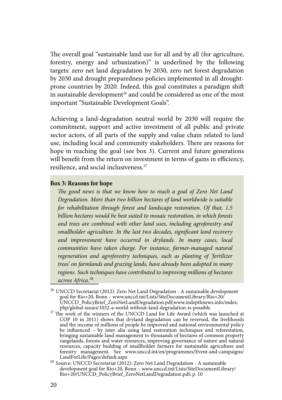The overall goal "sustainable land use for all and by all (for agriculture, forestry, energy and urbanization)" is underlined by the following targets: zero net land degradation by 2030, zero net forest degradation by 2030 and drought preparedness policies implemented in all droughtprone countries by 2020. Indeed, this goal constitutes a paradigm shift in sustainable development<sup>26</sup> and could be considered as one of the most important "Sustainable Development Goals".

Achieving a land-degradation neutral world by 2030 will require the commitment, support and active investment of all public and private sector actors, of all parts of the supply and value chain related to land use, including local and community stakeholders. There are reasons for hope in reaching the goal (see box 3). Current and future generations will benefit from the return on investment in terms of gains in efficiency, resilience, and social inclusiveness.27

#### **Box 3: Reasons for hope**

*The good news is that we know how to reach a goal of Zero Net Land Degradation. More than two billion hectares of land worldwide is suitable for rehabilitation through forest and landscape restoration. Of that, 1.5 billion hectares would be best suited to mosaic restoration, in which forests and trees are combined with other land uses, including agroforestry and smallholder agriculture. In the last two decades, significant land recovery and improvement have occurred in drylands. In many cases, local communities have taken charge. For instance, farmer-managed natural regeneration and agroforestry techniques, such as planting of 'fertilizer trees' on farmlands and grazing lands, have already been adopted in many regions. Such techniques have contributed to improving millions of hectares across Africa.*<sup>28</sup>

<sup>26</sup> UNCCD Secretariat (2012): Zero Net Land Degradation - A sustainable development goal for Rio+20, Bonn – www.unccd.int/Lists/SiteDocumentLibrary/Rio+20/ UNCCD\_PolicyBrief\_ZeroNetLandDegradation.pdf;www.indepthnews.info/index.

<sup>&</sup>lt;sup>27</sup> The work of the winners of the UNCCD Land for Life Award (which was launched at COP 10 in 2011) shows that dryland degradation can be reversed, the livelihoods and the income of millions of people be improved and national environmental policy be influenced – by inter alia using land restoration techniques and reforestation, bringing sustainable land management to thousands of hectares of common property rangelands, forests and water resources, improving governance of nature and natural resources, capacity building of smallholder farmers for sustainable agriculture and forestry management. See www.unccd.int/en/programmes/Event-and-campaigns/

LandForLife/Pages/default.aspx 28 Source: UNCCD Secretariat (2012): Zero Net Land Degradation - A sustainable development goal for Rio+20, Bonn – www.unccd.int/Lists/SiteDocumentLibrary/ Rio+20/UNCCD\_PolicyBrief\_ZeroNetLandDegradation.pdf, p. 10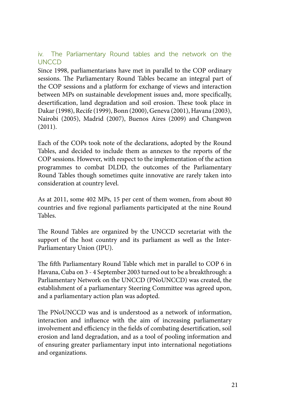## iv. The Parliamentary Round tables and the network on the UNCCD

Since 1998, parliamentarians have met in parallel to the COP ordinary sessions. The Parliamentary Round Tables became an integral part of the COP sessions and a platform for exchange of views and interaction between MPs on sustainable development issues and, more specifically, desertification, land degradation and soil erosion. These took place in Dakar (1998), Recife (1999), Bonn (2000), Geneva (2001), Havana (2003), Nairobi (2005), Madrid (2007), Buenos Aires (2009) and Changwon (2011).

Each of the COPs took note of the declarations, adopted by the Round Tables, and decided to include them as annexes to the reports of the COP sessions. However, with respect to the implementation of the action programmes to combat DLDD, the outcomes of the Parliamentary Round Tables though sometimes quite innovative are rarely taken into consideration at country level.

As at 2011, some 402 MPs, 15 per cent of them women, from about 80 countries and five regional parliaments participated at the nine Round Tables.

The Round Tables are organized by the UNCCD secretariat with the support of the host country and its parliament as well as the Inter-Parliamentary Union (IPU).

The fifth Parliamentary Round Table which met in parallel to COP 6 in Havana, Cuba on 3 - 4 September 2003 turned out to be a breakthrough: a Parliamentary Network on the UNCCD (PNoUNCCD) was created, the establishment of a parliamentary Steering Committee was agreed upon, and a parliamentary action plan was adopted.

The PNoUNCCD was and is understood as a network of information, interaction and influence with the aim of increasing parliamentary involvement and efficiency in the fields of combating desertification, soil erosion and land degradation, and as a tool of pooling information and of ensuring greater parliamentary input into international negotiations and organizations.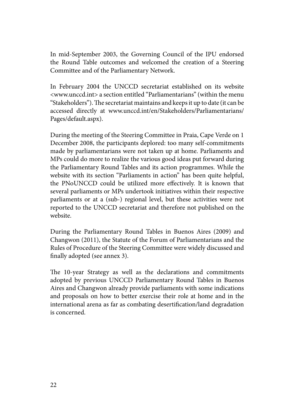In mid-September 2003, the Governing Council of the IPU endorsed the Round Table outcomes and welcomed the creation of a Steering Committee and of the Parliamentary Network.

In February 2004 the UNCCD secretariat established on its website <www.unccd.int> a section entitled "Parliamentarians" (within the menu "Stakeholders"). The secretariat maintains and keeps it up to date (it can be accessed directly at www.unccd.int/en/Stakeholders/Parliamentarians/ Pages/default.aspx).

During the meeting of the Steering Committee in Praia, Cape Verde on 1 December 2008, the participants deplored: too many self-commitments made by parliamentarians were not taken up at home. Parliaments and MPs could do more to realize the various good ideas put forward during the Parliamentary Round Tables and its action programmes. While the website with its section "Parliaments in action" has been quite helpful, the PNoUNCCD could be utilized more effectively. It is known that several parliaments or MPs undertook initiatives within their respective parliaments or at a (sub-) regional level, but these activities were not reported to the UNCCD secretariat and therefore not published on the website.

During the Parliamentary Round Tables in Buenos Aires (2009) and Changwon (2011), the Statute of the Forum of Parliamentarians and the Rules of Procedure of the Steering Committee were widely discussed and finally adopted (see annex 3).

The 10-year Strategy as well as the declarations and commitments adopted by previous UNCCD Parliamentary Round Tables in Buenos Aires and Changwon already provide parliaments with some indications and proposals on how to better exercise their role at home and in the international arena as far as combating desertification/land degradation is concerned.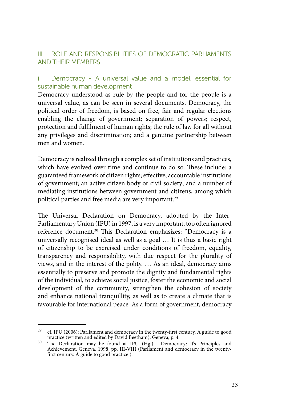## III. ROLE AND RESPONSIBILITIES OF DEMOCRATIC PARLIAMENTS AND THEIR MEMBERS

## i. Democracy - A universal value and a model, essential for sustainable human development

Democracy understood as rule by the people and for the people is a universal value, as can be seen in several documents. Democracy, the political order of freedom, is based on free, fair and regular elections enabling the change of government; separation of powers; respect, protection and fulfilment of human rights; the rule of law for all without any privileges and discrimination; and a genuine partnership between men and women.

Democracy is realized through a complex set of institutions and practices, which have evolved over time and continue to do so. These include: a guaranteed framework of citizen rights; effective, accountable institutions of government; an active citizen body or civil society; and a number of mediating institutions between government and citizens, among which political parties and free media are very important.<sup>29</sup>

The Universal Declaration on Democracy, adopted by the Inter-Parliamentary Union (IPU) in 1997, is a very important, too often ignored reference document.30 This Declaration emphasizes: "Democracy is a universally recognised ideal as well as a goal … It is thus a basic right of citizenship to be exercised under conditions of freedom, equality, transparency and responsibility, with due respect for the plurality of views, and in the interest of the polity. … As an ideal, democracy aims essentially to preserve and promote the dignity and fundamental rights of the individual, to achieve social justice, foster the economic and social development of the community, strengthen the cohesion of society and enhance national tranquillity, as well as to create a climate that is favourable for international peace. As a form of government, democracy

<sup>&</sup>lt;sup>29</sup> cf. IPU (2006): Parliament and democracy in the twenty-first century. A guide to good practice (written and edited by David Beetham), Geneva, p. 4.

practice (written and edited by David Beetham), Geneva, p. 4.<br><sup>30</sup> The Declaration may be found at IPU (Hg.) : Democracy: It's Principles and Achievement, Geneva, 1998, pp. III-VIII (Parliament and democracy in the twentyfirst century. A guide to good practice ).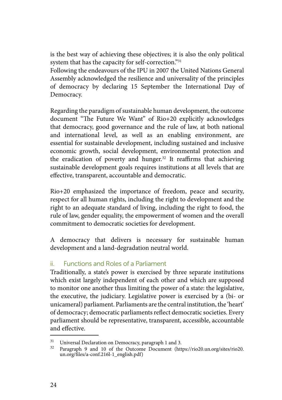is the best way of achieving these objectives; it is also the only political system that has the capacity for self-correction."31

Following the endeavours of the IPU in 2007 the United Nations General Assembly acknowledged the resilience and universality of the principles of democracy by declaring 15 September the International Day of Democracy.

Regarding the paradigm of sustainable human development, the outcome document "The Future We Want" of Rio+20 explicitly acknowledges that democracy, good governance and the rule of law, at both national and international level, as well as an enabling environment, are essential for sustainable development, including sustained and inclusive economic growth, social development, environmental protection and the eradication of poverty and hunger.<sup>32</sup> It reaffirms that achieving sustainable development goals requires institutions at all levels that are effective, transparent, accountable and democratic.

Rio+20 emphasized the importance of freedom, peace and security, respect for all human rights, including the right to development and the right to an adequate standard of living, including the right to food, the rule of law, gender equality, the empowerment of women and the overall commitment to democratic societies for development.

A democracy that delivers is necessary for sustainable human development and a land-degradation neutral world.

## ii. Functions and Roles of a Parliament

Traditionally, a state's power is exercised by three separate institutions which exist largely independent of each other and which are supposed to monitor one another thus limiting the power of a state: the legislative, the executive, the judiciary. Legislative power is exercised by a (bi- or unicameral) parliament. Parliaments are the central institution, the 'heart' of democracy; democratic parliaments reflect democratic societies. Every parliament should be representative, transparent, accessible, accountable and effective.

<sup>&</sup>lt;sup>31</sup> Universal Declaration on Democracy, paragraph 1 and 3.<br><sup>32</sup> Paragraph 9 and 10 of the Outcome Document (https://rio20.un.org/sites/rio20. un.org/files/a-conf.216l-1\_english.pdf)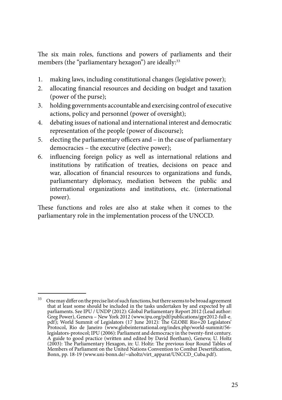The six main roles, functions and powers of parliaments and their members (the "parliamentary hexagon") are ideally:<sup>33</sup>

- 1. making laws, including constitutional changes (legislative power);
- 2. allocating financial resources and deciding on budget and taxation (power of the purse);
- 3. holding governments accountable and exercising control of executive actions, policy and personnel (power of oversight);
- 4. debating issues of national and international interest and democratic representation of the people (power of discourse);
- 5. electing the parliamentary officers and in the case of parliamentary democracies – the executive (elective power);
- 6. influencing foreign policy as well as international relations and institutions by ratification of treaties, decisions on peace and war, allocation of financial resources to organizations and funds, parliamentary diplomacy, mediation between the public and international organizations and institutions, etc. (international power).

These functions and roles are also at stake when it comes to the parliamentary role in the implementation process of the UNCCD.

<sup>&</sup>lt;sup>33</sup> One may differ on the precise list of such functions, but there seems to be broad agreement that at least some should be included in the tasks undertaken by and expected by all parliaments. See IPU / UNDP (2012): Global Parliamentary Report 2012 (Lead author: Greg Power), Geneva – New York 2012 (www.ipu.org/pdf/publications/gpr2012-full-e. pdf); World Summit of Legislators (17 June 2012): The GLOBE Rio+20 Legislators' Protocol, Rio de Janeiro (www.globeinternational.org/index.php/world-summit/56 legislators-protocol; IPU (2006): Parliament and democracy in the twenty-first century. A guide to good practice (written and edited by David Beetham), Geneva; U. Holtz (2003): The Parliamentary Hexagon, in: U. Holtz: The previous four Round Tables of Members of Parliament on the United Nations Convention to Combat Desertification, Bonn, pp. 18-19 (www.uni-bonn.de/~uholtz/virt\_apparat/UNCCD\_Cuba.pdf).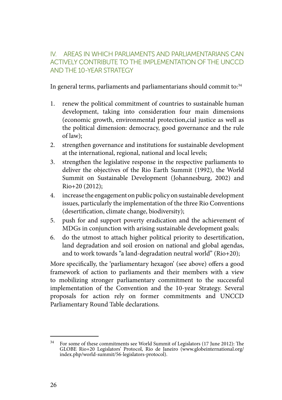## IV. AREAS IN WHICH PARLIAMENTS AND PARLIAMENTARIANS CAN ACTIVELY CONTRIBUTE TO THE IMPLEMENTATION OF THE UNCCD AND THE 10-YEAR STRATEGY

In general terms, parliaments and parliamentarians should commit to:<sup>34</sup>

- 1. renew the political commitment of countries to sustainable human development, taking into consideration four main dimensions (economic growth, environmental protection,cial justice as well as the political dimension: democracy, good governance and the rule of law);
- 2. strengthen governance and institutions for sustainable development at the international, regional, national and local levels;
- 3. strengthen the legislative response in the respective parliaments to deliver the objectives of the Rio Earth Summit (1992), the World Summit on Sustainable Development (Johannesburg, 2002) and Rio+20 (2012);
- 4. increase the engagement on public policy on sustainable development issues, particularly the implementation of the three Rio Conventions (desertification, climate change, biodiversity);
- 5. push for and support poverty eradication and the achievement of MDGs in conjunction with arising sustainable development goals;
- 6. do the utmost to attach higher political priority to desertification, land degradation and soil erosion on national and global agendas, and to work towards "a land-degradation neutral world" (Rio+20);

More specifically, the 'parliamentary hexagon' (see above) offers a good framework of action to parliaments and their members with a view to mobilizing stronger parliamentary commitment to the successful implementation of the Convention and the 10-year Strategy. Several proposals for action rely on former commitments and UNCCD Parliamentary Round Table declarations.

 $34$  For some of these commitments see World Summit of Legislators (17 June 2012): The GLOBE Rio+20 Legislators' Protocol, Rio de Janeiro (www.globeinternational.org/ index.php/world-summit/56-legislators-protocol).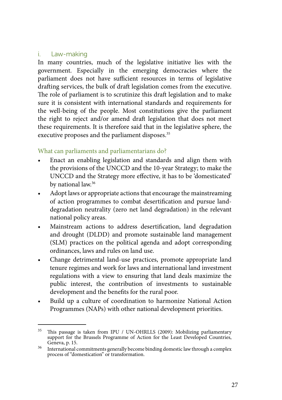#### i. Law-making

In many countries, much of the legislative initiative lies with the government. Especially in the emerging democracies where the parliament does not have sufficient resources in terms of legislative drafting services, the bulk of draft legislation comes from the executive. The role of parliament is to scrutinize this draft legislation and to make sure it is consistent with international standards and requirements for the well-being of the people. Most constitutions give the parliament the right to reject and/or amend draft legislation that does not meet these requirements. It is therefore said that in the legislative sphere, the executive proposes and the parliament disposes.<sup>35</sup>

- Enact an enabling legislation and standards and align them with the provisions of the UNCCD and the 10-year Strategy; to make the UNCCD and the Strategy more effective, it has to be 'domesticated' by national law.<sup>36</sup>
- Adopt laws or appropriate actions that encourage the mainstreaming of action programmes to combat desertification and pursue landdegradation neutrality (zero net land degradation) in the relevant national policy areas.
- • Mainstream actions to address desertification, land degradation and drought (DLDD) and promote sustainable land management (SLM) practices on the political agenda and adopt corresponding ordinances, laws and rules on land use.
- Change detrimental land-use practices, promote appropriate land tenure regimes and work for laws and international land investment regulations with a view to ensuring that land deals maximize the public interest, the contribution of investments to sustainable development and the benefits for the rural poor.
- • Build up a culture of coordination to harmonize National Action Programmes (NAPs) with other national development priorities.

<sup>&</sup>lt;sup>35</sup> This passage is taken from IPU / UN-OHRLLS (2009): Mobilizing parliamentary support for the Brussels Programme of Action for the Least Developed Countries, Geneva, p. 15.

<sup>&</sup>lt;sup>36</sup> International commitments generally become binding domestic law through a complex process of "domestication" or transformation.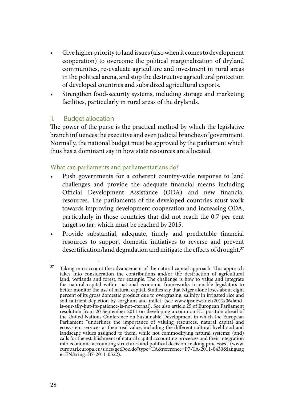- Give higher priority to land issues (also when it comes to development cooperation) to overcome the political marginalization of dryland communities, re-evaluate agriculture and investment in rural areas in the political arena, and stop the destructive agricultural protection of developed countries and subsidized agricultural exports.
- Strengthen food-security systems, including storage and marketing facilities, particularly in rural areas of the drylands.

## ii. Budget allocation

The power of the purse is the practical method by which the legislative branch influences the executive and even judicial branches of government. Normally, the national budget must be approved by the parliament which thus has a dominant say in how state resources are allocated.

- Push governments for a coherent country-wide response to land challenges and provide the adequate financial means including Official Development Assistance (ODA) and new financial resources. The parliaments of the developed countries must work towards improving development cooperation and increasing ODA, particularly in those countries that did not reach the 0.7 per cent target so far; which must be reached by 2015.
- • Provide substantial, adequate, timely and predictable financial resources to support domestic initiatives to reverse and prevent desertification/land degradation and mitigate the effects of drought.<sup>37</sup>

 $37$  Taking into account the advancement of the natural capital approach. This approach takes into consideration the contributions and/or the destruction of agricultural land, wetlands and forest, for example. The challenge is how to value and integrate the natural capital within national economic frameworks to enable legislators to better monitor the use of natural capital. Studies say that Niger alone loses about eight percent of its gross domestic product due to overgrazing, salinity in irrigated rice and soil nutrient depletion by sorghum and millet. (see www.ipsnews.net/2012/06/landis-our-ally-but-its-patience-is-not-eternal). See also article 25 of European Parliament resolution from 20 September 2011 on developing a common EU position ahead of the United Nations Conference on Sustainable Development in which the European Parliament "underlines the importance of valuing resources, natural capital and ecosystem services at their real value, including the different cultural livelihood and landscape values assigned to them, while not commodifying natural systems; (and) calls for the establishment of natural capital accounting processes and their integration into economic accounting structures and political decision-making processes." (www. europarl.europa.eu/sides/getDoc.do?type=TA&reference=P7-TA-2011-0430&languag  $e=E\hat{N}$ &ring= $\hat{B}$ 7-2011-0522).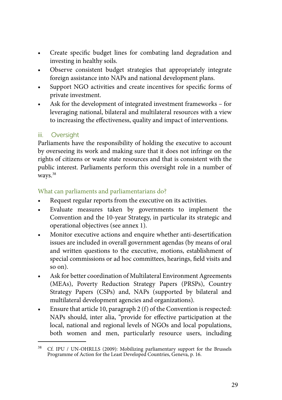- Create specific budget lines for combating land degradation and investing in healthy soils.
- Observe consistent budget strategies that appropriately integrate foreign assistance into NAPs and national development plans.
- Support NGO activities and create incentives for specific forms of private investment.
- Ask for the development of integrated investment frameworks for leveraging national, bilateral and multilateral resources with a view to increasing the effectiveness, quality and impact of interventions.

## iii. Oversight

Parliaments have the responsibility of holding the executive to account by overseeing its work and making sure that it does not infringe on the rights of citizens or waste state resources and that is consistent with the public interest. Parliaments perform this oversight role in a number of ways.<sup>38</sup>

- Request regular reports from the executive on its activities.
- Evaluate measures taken by governments to implement the Convention and the 10-year Strategy, in particular its strategic and operational objectives (see annex 1).
- Monitor executive actions and enquire whether anti-desertification issues are included in overall government agendas (by means of oral and written questions to the executive, motions, establishment of special commissions or ad hoc committees, hearings, field visits and so on).
- Ask for better coordination of Multilateral Environment Agreements (MEAs), Poverty Reduction Strategy Papers (PRSPs), Country Strategy Papers (CSPs) and, NAPs (supported by bilateral and multilateral development agencies and organizations).
- Ensure that article 10, paragraph 2 (f) of the Convention is respected: NAPs should, inter alia, "provide for effective participation at the local, national and regional levels of NGOs and local populations, both women and men, particularly resource users, including

<sup>38</sup> Cf. IPU / UN-OHRLLS (2009): Mobilizing parliamentary support for the Brussels Programme of Action for the Least Developed Countries, Geneva, p. 16.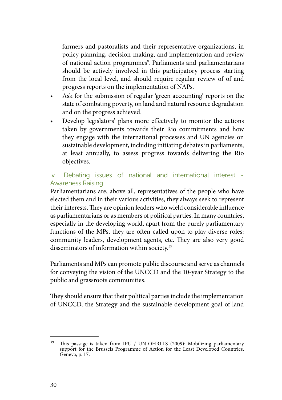farmers and pastoralists and their representative organizations, in policy planning, decision-making, and implementation and review of national action programmes". Parliaments and parliamentarians should be actively involved in this participatory process starting from the local level, and should require regular review of of and progress reports on the implementation of NAPs.

- • Ask for the submission of regular 'green accounting' reports on the state of combating poverty, on land and natural resource degradation and on the progress achieved.
- Develop legislators' plans more effectively to monitor the actions taken by governments towards their Rio commitments and how they engage with the international processes and UN agencies on sustainable development, including initiating debates in parliaments, at least annually, to assess progress towards delivering the Rio objectives.

## iv. Debating issues of national and international interest - Awareness Raising

Parliamentarians are, above all, representatives of the people who have elected them and in their various activities, they always seek to represent their interests. They are opinion leaders who wield considerable influence as parliamentarians or as members of political parties. In many countries, especially in the developing world, apart from the purely parliamentary functions of the MPs, they are often called upon to play diverse roles: community leaders, development agents, etc. They are also very good disseminators of information within society.39

Parliaments and MPs can promote public discourse and serve as channels for conveying the vision of the UNCCD and the 10-year Strategy to the public and grassroots communities.

They should ensure that their political parties include the implementation of UNCCD, the Strategy and the sustainable development goal of land

<sup>&</sup>lt;sup>39</sup> This passage is taken from IPU / UN-OHRLLS (2009): Mobilizing parliamentary support for the Brussels Programme of Action for the Least Developed Countries, Geneva, p. 17.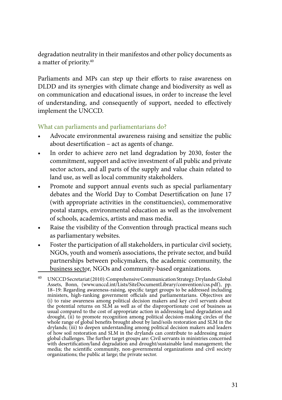degradation neutrality in their manifestos and other policy documents as a matter of priority.40

Parliaments and MPs can step up their efforts to raise awareness on DLDD and its synergies with climate change and biodiversity as well as on communication and educational issues, in order to increase the level of understanding, and consequently of support, needed to effectively implement the UNCCD.

- Advocate environmental awareness raising and sensitize the public about desertification – act as agents of change.
- In order to achieve zero net land degradation by 2030, foster the commitment, support and active investment of all public and private sector actors, and all parts of the supply and value chain related to land use, as well as local community stakeholders.
- Promote and support annual events such as special parliamentary debates and the World Day to Combat Desertification on June 17 (with appropriate activities in the constituencies), commemorative postal stamps, environmental education as well as the involvement of schools, academics, artists and mass media.
- Raise the visibility of the Convention through practical means such as parliamentary websites.
- Foster the participation of all stakeholders, in particular civil society, NGOs, youth and women's associations, the private sector, and build partnerships between policymakers, the academic community, the business sector, NGOs and community-based organizations.

UNCCD Secretariat (2010): Comprehensive Communication Strategy. Drylands: Global Assets, Bonn, (www.unccd.int/Lists/SiteDocumentLibrary/convention/css.pdf), pp. 18–19: Regarding awareness-raising, specific target groups to be addressed including ministers, high-ranking government officials and parliamentarians. Objectives are (i) to raise awareness among political decision makers and key civil servants about the potential returns on  $SLM$  as well as of the disproportionate cost of business as usual compared to the cost of appropriate action in addressing land degradation and drought, (ii) to promote recognition among political decision-making circles of the whole range of global benefits brought about by land/soils restoration and SLM in the drylands; (iii) to deepen understanding among political decision makers and leaders of how soil restoration and SLM in the drylands can contribute to addressing major global challenges. The further target groups are: Civil servants in ministries concerned with desertification/land degradation and drought/sustainable land management; the media; the scientific community, non-governmental organizations and civil society organizations; the public at large; the private sector.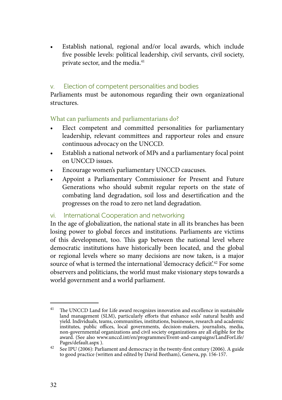• Establish national, regional and/or local awards, which include five possible levels: political leadership, civil servants, civil society, private sector, and the media.<sup>41</sup>

## v. Election of competent personalities and bodies

Parliaments must be autonomous regarding their own organizational structures.

What can parliaments and parliamentarians do?

- • Elect competent and committed personalities for parliamentary leadership, relevant committees and rapporteur roles and ensure continuous advocacy on the UNCCD.
- • Establish a national network of MPs and a parliamentary focal point on UNCCD issues.
- Encourage women's parliamentary UNCCD caucuses.
- Appoint a Parliamentary Commissioner for Present and Future Generations who should submit regular reports on the state of combating land degradation, soil loss and desertification and the progresses on the road to zero net land degradation.

vi. International Cooperation and networking

In the age of globalization, the national state in all its branches has been losing power to global forces and institutions. Parliaments are victims of this development, too. This gap between the national level where democratic institutions have historically been located, and the global or regional levels where so many decisions are now taken, is a major source of what is termed the international 'democracy deficit'.<sup>42</sup> For some observers and politicians, the world must make visionary steps towards a world government and a world parliament.

 $41$  The UNCCD Land for Life award recognizes innovation and excellence in sustainable land management (SLM), particularly efforts that enhance soils' natural health and yield. Individuals, teams, communities, institutions, businesses, research and academic institutes, public offices, local governments, decision-makers, journalists, media, non-governmental organizations and civil society organizations are all eligible for the award. (See also www.unccd.int/en/programmes/Event-and-campaigns/LandForLife/

Pages/default.aspx ). 42 See IPU (2006): Parliament and democracy in the twenty-first century (2006). A guide to good practice (written and edited by David Beetham), Geneva, pp. 156-157.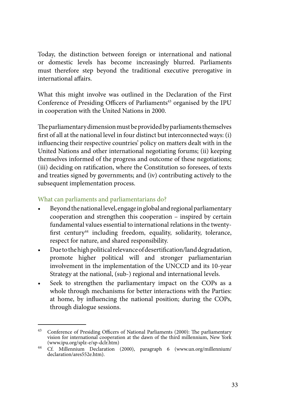Today, the distinction between foreign or international and national or domestic levels has become increasingly blurred. Parliaments must therefore step beyond the traditional executive prerogative in international affairs.

What this might involve was outlined in the Declaration of the First Conference of Presiding Officers of Parliaments<sup>43</sup> organised by the IPU in cooperation with the United Nations in 2000.

The parliamentary dimension must be provided by parliaments themselves first of all at the national level in four distinct but interconnected ways: (i) influencing their respective countries' policy on matters dealt with in the United Nations and other international negotiating forums; (ii) keeping themselves informed of the progress and outcome of these negotiations; (iii) deciding on ratification, where the Constitution so foresees, of texts and treaties signed by governments; and (iv) contributing actively to the subsequent implementation process.

- Beyond the national level, engage in global and regional parliamentary cooperation and strengthen this cooperation – inspired by certain fundamental values essential to international relations in the twentyfirst century<sup>44</sup> including freedom, equality, solidarity, tolerance, respect for nature, and shared responsibility.
- • Due to the high political relevance of desertification/land degradation, promote higher political will and stronger parliamentarian involvement in the implementation of the UNCCD and its 10-year Strategy at the national, (sub-) regional and international levels.
- Seek to strengthen the parliamentary impact on the COPs as a whole through mechanisms for better interactions with the Parties: at home, by influencing the national position; during the COPs, through dialogue sessions.

<sup>43</sup> Conference of Presiding Officers of National Parliaments (2000): The parliamentary vision for international cooperation at the dawn of the third millennium, New York

<sup>(</sup>www.ipu.org/splz-e/sp-dclr.htm) 44 Cf. Millennium Declaration (2000), paragraph 6 (www.un.org/millennium/ declaration/ares552e.htm).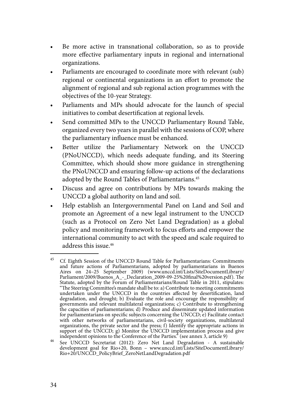- Be more active in transnational collaboration, so as to provide more effective parliamentary inputs in regional and international organizations.
- Parliaments are encouraged to coordinate more with relevant (sub) regional or continental organizations in an effort to promote the alignment of regional and sub regional action programmes with the objectives of the 10-year Strategy.
- Parliaments and MPs should advocate for the launch of special initiatives to combat desertification at regional levels.
- Send committed MPs to the UNCCD Parliamentary Round Table, organized every two years in parallel with the sessions of COP, where the parliamentary influence must be enhanced.
- • Better utilize the Parliamentary Network on the UNCCD (PNoUNCCD), which needs adequate funding, and its Steering Committee, which should show more guidance in strengthening the PNoUNCCD and ensuring follow-up actions of the declarations adopted by the Round Tables of Parliamentarians.45
- Discuss and agree on contributions by MPs towards making the UNCCD a global authority on land and soil.
- • Help establish an Intergovernmental Panel on Land and Soil and promote an Agreement of a new legal instrument to the UNCCD (such as a Protocol on Zero Net Land Degradation) as a global policy and monitoring framework to focus efforts and empower the international community to act with the speed and scale required to address this issue.46

<sup>45</sup> Cf. Eighth Session of the UNCCD Round Table for Parliamentarians: Commitments and future actions of Parliamentarians, adopted by parliamentarians in Buenos Aires on 24–25 September 2009) (www.unccd.int/Lists/SiteDocumentLibrary/ Parliament/2009/Buenos\_A\_-\_Declaration\_2009-09-25%20final%20version.pdf). The Statute, adopted by the Forum of Parliamentarians/Round Table in 2011, stipulates: "The Steering Committee's mandate shall be to: a) Contribute to meeting commitments undertaken under the UNCCD in the countries affected by desertification, land degradation, and drought; b) Evaluate the role and encourage the responsibility of governments and relevant multilateral organizations; c) Contribute to strengthening the capacities of parliamentarians; d) Produce and disseminate updated information for parliamentarians on specific subjects concerning the UNCCD; e) Facilitate contact with other networks of parliamentarians, civil-society organizations, multilateral organizations, the private sector and the press; f) Identify the appropriate actions in support of the UNCCD; g) Monitor the UNCCD implementation process and give

independent opinions to the Conference of the Parties." (see annex 3, article 9)<br>
See UNCCD Secretariat (2012): Zero Net Land Degradation - A sustainable<br>
development goal for Rio+20, Bonn – www.unccd.int/Lists/SiteDocumen Rio+20/UNCCD\_PolicyBrief\_ZeroNetLandDegradation.pdf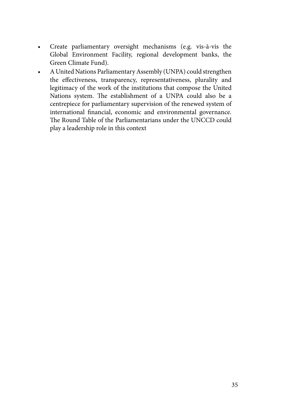- • Create parliamentary oversight mechanisms (e.g. vis-à-vis the Global Environment Facility, regional development banks, the Green Climate Fund).
- A United Nations Parliamentary Assembly (UNPA) could strengthen the effectiveness, transparency, representativeness, plurality and legitimacy of the work of the institutions that compose the United Nations system. The establishment of a UNPA could also be a centrepiece for parliamentary supervision of the renewed system of international financial, economic and environmental governance. The Round Table of the Parliamentarians under the UNCCD could play a leadership role in this context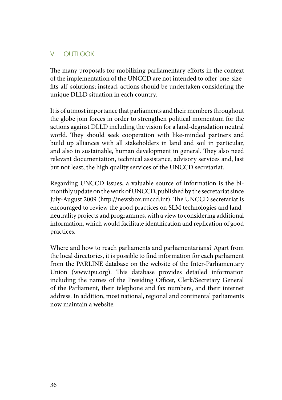## V. OUTLOOK

The many proposals for mobilizing parliamentary efforts in the context of the implementation of the UNCCD are not intended to offer 'one-sizefits-all' solutions; instead, actions should be undertaken considering the unique DLLD situation in each country.

It is of utmost importance that parliaments and their members throughout the globe join forces in order to strengthen political momentum for the actions against DLLD including the vision for a land-degradation neutral world. They should seek cooperation with like-minded partners and build up alliances with all stakeholders in land and soil in particular, and also in sustainable, human development in general. They also need relevant documentation, technical assistance, advisory services and, last but not least, the high quality services of the UNCCD secretariat.

Regarding UNCCD issues, a valuable source of information is the bimonthly update on the work of UNCCD, published by the secretariat since July-August 2009 (http://newsbox.unccd.int). The UNCCD secretariat is encouraged to review the good practices on SLM technologies and landneutrality projects and programmes, with a view to considering additional information, which would facilitate identification and replication of good practices.

Where and how to reach parliaments and parliamentarians? Apart from the local directories, it is possible to find information for each parliament from the PARLINE database on the website of the Inter-Parliamentary Union (www.ipu.org). This database provides detailed information including the names of the Presiding Officer, Clerk/Secretary General of the Parliament, their telephone and fax numbers, and their internet address. In addition, most national, regional and continental parliaments now maintain a website.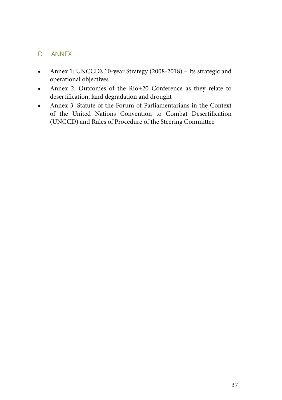## D. Annex

- Annex 1: UNCCD's 10-year Strategy (2008-2018) Its strategic and operational objectives
- • Annex 2: Outcomes of the Rio+20 Conference as they relate to desertification, land degradation and drought
- • Annex 3: Statute of the Forum of Parliamentarians in the Context of the United Nations Convention to Combat Desertification (UNCCD) and Rules of Procedure of the Steering Committee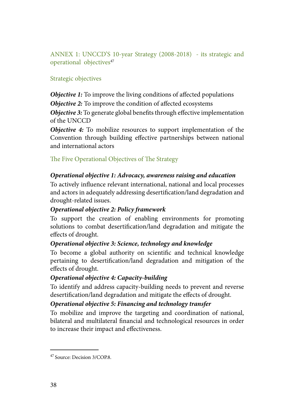ANNEX 1: UNCCD'S 10-year Strategy (2008-2018) - its strategic and operational objectives<sup>47</sup>

## Strategic objectives

*Objective 1:* To improve the living conditions of affected populations

*Objective 2:* To improve the condition of affected ecosystems

*Objective 3:* To generate global benefits through effective implementation of the UNCCD

*Objective 4:* To mobilize resources to support implementation of the Convention through building effective partnerships between national and international actors

The Five Operational Objectives of The Strategy

## *Operational objective 1: Advocacy, awareness raising and education*

To actively influence relevant international, national and local processes and actors in adequately addressing desertification/land degradation and drought-related issues.

## *Operational objective 2: Policy framework*

To support the creation of enabling environments for promoting solutions to combat desertification/land degradation and mitigate the effects of drought.

## *Operational objective 3: Science, technology and knowledge*

To become a global authority on scientific and technical knowledge pertaining to desertification/land degradation and mitigation of the effects of drought.

## *Operational objective 4: Capacity-building*

To identify and address capacity-building needs to prevent and reverse desertification/land degradation and mitigate the effects of drought.

## *Operational objective 5: Financing and technology transfer*

To mobilize and improve the targeting and coordination of national, bilateral and multilateral financial and technological resources in order to increase their impact and effectiveness.

<sup>47</sup> Source: Decision 3/COP.8.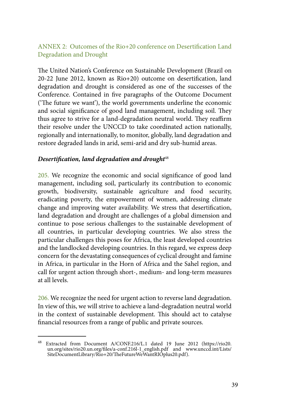## ANNEX 2: Outcomes of the Rio+20 conference on Desertification Land Degradation and Drought

The United Nation's Conference on Sustainable Development (Brazil on 20-22 June 2012, known as Rio+20) outcome on desertification, land degradation and drought is considered as one of the successes of the Conference. Contained in five paragraphs of the Outcome Document ('The future we want'), the world governments underline the economic and social significance of good land management, including soil. They thus agree to strive for a land-degradation neutral world. They reaffirm their resolve under the UNCCD to take coordinated action nationally, regionally and internationally, to monitor, globally, land degradation and restore degraded lands in arid, semi-arid and dry sub-humid areas.

#### **Desertification, land degradation and drought**<sup>48</sup>

205. We recognize the economic and social significance of good land management, including soil, particularly its contribution to economic growth, biodiversity, sustainable agriculture and food security, eradicating poverty, the empowerment of women, addressing climate change and improving water availability. We stress that desertification, land degradation and drought are challenges of a global dimension and continue to pose serious challenges to the sustainable development of all countries, in particular developing countries. We also stress the particular challenges this poses for Africa, the least developed countries and the landlocked developing countries. In this regard, we express deep concern for the devastating consequences of cyclical drought and famine in Africa, in particular in the Horn of Africa and the Sahel region, and call for urgent action through short-, medium- and long-term measures at all levels.

206. We recognize the need for urgent action to reverse land degradation. In view of this, we will strive to achieve a land-degradation neutral world in the context of sustainable development. This should act to catalyse financial resources from a range of public and private sources.

<sup>48</sup> Extracted from Document A/CONF.216/L.1 dated 19 June 2012 (https://rio20. un.org/sites/rio20.un.org/files/a-conf.216l-1\_english.pdf and www.unccd.int/Lists/ SiteDocumentLibrary/Rio+20/TheFutureWeWantRIOplus20.pdf).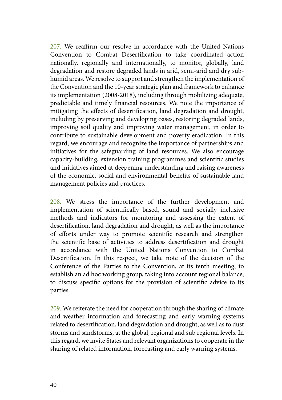207. We reaffirm our resolve in accordance with the United Nations Convention to Combat Desertification to take coordinated action nationally, regionally and internationally, to monitor, globally, land degradation and restore degraded lands in arid, semi-arid and dry subhumid areas. We resolve to support and strengthen the implementation of the Convention and the 10-year strategic plan and framework to enhance its implementation (2008-2018), including through mobilizing adequate, predictable and timely financial resources. We note the importance of mitigating the effects of desertification, land degradation and drought, including by preserving and developing oases, restoring degraded lands, improving soil quality and improving water management, in order to contribute to sustainable development and poverty eradication. In this regard, we encourage and recognize the importance of partnerships and initiatives for the safeguarding of land resources. We also encourage capacity-building, extension training programmes and scientific studies and initiatives aimed at deepening understanding and raising awareness of the economic, social and environmental benefits of sustainable land management policies and practices.

208. We stress the importance of the further development and implementation of scientifically based, sound and socially inclusive methods and indicators for monitoring and assessing the extent of desertification, land degradation and drought, as well as the importance of efforts under way to promote scientific research and strengthen the scientific base of activities to address desertification and drought in accordance with the United Nations Convention to Combat Desertification. In this respect, we take note of the decision of the Conference of the Parties to the Convention, at its tenth meeting, to establish an ad hoc working group, taking into account regional balance, to discuss specific options for the provision of scientific advice to its parties.

209. We reiterate the need for cooperation through the sharing of climate and weather information and forecasting and early warning systems related to desertification, land degradation and drought, as well as to dust storms and sandstorms, at the global, regional and sub regional levels. In this regard, we invite States and relevant organizations to cooperate in the sharing of related information, forecasting and early warning systems.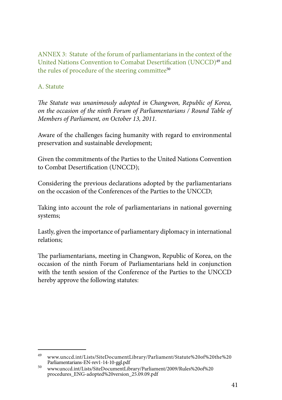ANNEX 3: Statute of the forum of parliamentarians in the context of the United Nations Convention to Comabat Desertification (UNCCD)49 and the rules of procedure of the steering committee<sup>50</sup>

## A. Statute

*The Statute was unanimously adopted in Changwon, Republic of Korea, on the occasion of the ninth Forum of Parliamentarians / Round Table of Members of Parliament, on October 13, 2011.*

Aware of the challenges facing humanity with regard to environmental preservation and sustainable development;

Given the commitments of the Parties to the United Nations Convention to Combat Desertification (UNCCD);

Considering the previous declarations adopted by the parliamentarians on the occasion of the Conferences of the Parties to the UNCCD;

Taking into account the role of parliamentarians in national governing systems;

Lastly, given the importance of parliamentary diplomacy in international relations;

The parliamentarians, meeting in Changwon, Republic of Korea, on the occasion of the ninth Forum of Parliamentarians held in conjunction with the tenth session of the Conference of the Parties to the UNCCD hereby approve the following statutes:

 $^{49}$ www.unccd.int/Lists/SiteDocumentLibrary/Parliament/Statute%20of%20the%20<br>Parliamentarians-EN-rev1-14-10-ggl.pdf

 $^{50}$  www.unccd.int/Lists/SiteDocumentLibrary/Parliament/2009/Rules%20of%20 procedures\_ENG-adopted%20version\_25.09.09.pdf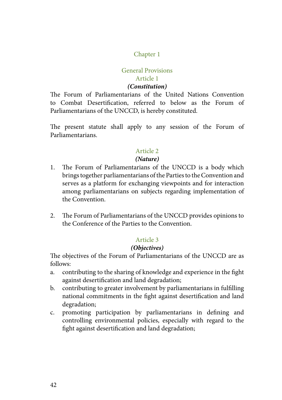## Chapter 1

#### General Provisions Article 1

#### *(Constitution)*

The Forum of Parliamentarians of the United Nations Convention to Combat Desertification, referred to below as the Forum of Parliamentarians of the UNCCD, is hereby constituted.

The present statute shall apply to any session of the Forum of Parliamentarians.

#### Article 2

#### *(Nature)*

- 1. The Forum of Parliamentarians of the UNCCD is a body which brings together parliamentarians of the Parties to the Convention and serves as a platform for exchanging viewpoints and for interaction among parliamentarians on subjects regarding implementation of the Convention.
- 2. The Forum of Parliamentarians of the UNCCD provides opinions to the Conference of the Parties to the Convention.

#### Article 3

#### *(Objectives)*

The objectives of the Forum of Parliamentarians of the UNCCD are as follows:

- a. contributing to the sharing of knowledge and experience in the fight against desertification and land degradation;
- b. contributing to greater involvement by parliamentarians in fulfilling national commitments in the fight against desertification and land degradation;
- c. promoting participation by parliamentarians in defining and controlling environmental policies, especially with regard to the fight against desertification and land degradation;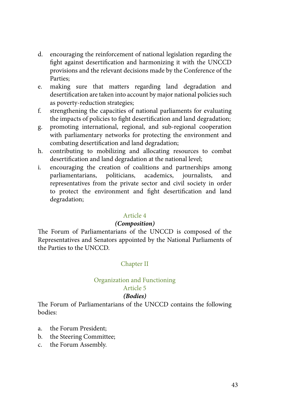- d. encouraging the reinforcement of national legislation regarding the fight against desertification and harmonizing it with the UNCCD provisions and the relevant decisions made by the Conference of the Parties;
- e. making sure that matters regarding land degradation and desertification are taken into account by major national policies such as poverty-reduction strategies;
- f. strengthening the capacities of national parliaments for evaluating the impacts of policies to fight desertification and land degradation;
- g. promoting international, regional, and sub-regional cooperation with parliamentary networks for protecting the environment and combating desertification and land degradation;
- h. contributing to mobilizing and allocating resources to combat desertification and land degradation at the national level;
- i. encouraging the creation of coalitions and partnerships among parliamentarians, politicians, academics, journalists, and representatives from the private sector and civil society in order to protect the environment and fight desertification and land degradation;

#### *(Composition)*

The Forum of Parliamentarians of the UNCCD is composed of the Representatives and Senators appointed by the National Parliaments of the Parties to the UNCCD.

#### Chapter II

#### Organization and Functioning

## Article 5

#### *(Bodies)*

The Forum of Parliamentarians of the UNCCD contains the following bodies:

- a. the Forum President;
- b. the Steering Committee;
- c. the Forum Assembly.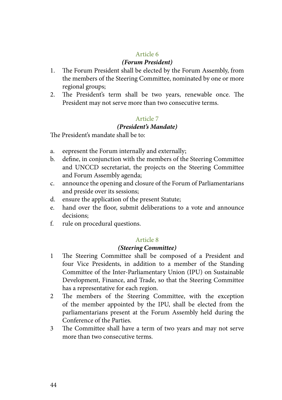#### *(Forum President)*

- 1. The Forum President shall be elected by the Forum Assembly, from the members of the Steering Committee, nominated by one or more regional groups;
- 2. The President's term shall be two years, renewable once. The President may not serve more than two consecutive terms.

#### Article 7

#### *(President's Mandate)*

The President's mandate shall be to:

- a. eepresent the Forum internally and externally;
- b. define, in conjunction with the members of the Steering Committee and UNCCD secretariat, the projects on the Steering Committee and Forum Assembly agenda;
- c. announce the opening and closure of the Forum of Parliamentarians and preside over its sessions;
- d. ensure the application of the present Statute;
- e. hand over the floor, submit deliberations to a vote and announce decisions;
- f. rule on procedural questions.

#### Article 8

#### *(Steering Committee)*

- 1 The Steering Committee shall be composed of a President and four Vice Presidents, in addition to a member of the Standing Committee of the Inter-Parliamentary Union (IPU) on Sustainable Development, Finance, and Trade, so that the Steering Committee has a representative for each region.
- 2 The members of the Steering Committee, with the exception of the member appointed by the IPU, shall be elected from the parliamentarians present at the Forum Assembly held during the Conference of the Parties.
- 3 The Committee shall have a term of two years and may not serve more than two consecutive terms.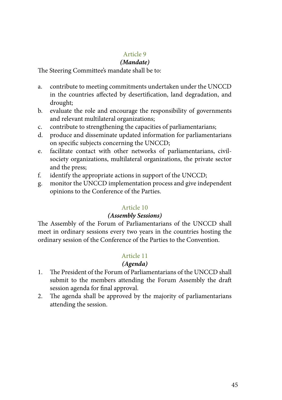## *(Mandate)*

The Steering Committee's mandate shall be to:

- a. contribute to meeting commitments undertaken under the UNCCD in the countries affected by desertification, land degradation, and drought;
- b. evaluate the role and encourage the responsibility of governments and relevant multilateral organizations;
- c. contribute to strengthening the capacities of parliamentarians;
- d. produce and disseminate updated information for parliamentarians on specific subjects concerning the UNCCD;
- e. facilitate contact with other networks of parliamentarians, civilsociety organizations, multilateral organizations, the private sector and the press;
- f. identify the appropriate actions in support of the UNCCD;
- g. monitor the UNCCD implementation process and give independent opinions to the Conference of the Parties.

## Article 10

#### *(Assembly Sessions)*

The Assembly of the Forum of Parliamentarians of the UNCCD shall meet in ordinary sessions every two years in the countries hosting the ordinary session of the Conference of the Parties to the Convention.

## Article 11

## *(Agenda)*

- 1. The President of the Forum of Parliamentarians of the UNCCD shall submit to the members attending the Forum Assembly the draft session agenda for final approval.
- 2. The agenda shall be approved by the majority of parliamentarians attending the session.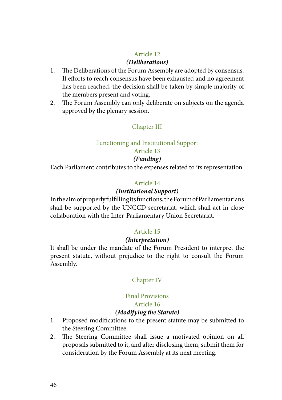#### *(Deliberations)*

- 1. The Deliberations of the Forum Assembly are adopted by consensus. If efforts to reach consensus have been exhausted and no agreement has been reached, the decision shall be taken by simple majority of the members present and voting.
- 2. The Forum Assembly can only deliberate on subjects on the agenda approved by the plenary session.

## Chapter III

## Functioning and Institutional Support

## Article 13

## *(Funding)*

Each Parliament contributes to the expenses related to its representation.

## Article 14

## *(Institutional Support)*

In the aim of properly fulfilling its functions, the Forum of Parliamentarians shall be supported by the UNCCD secretariat, which shall act in close collaboration with the Inter-Parliamentary Union Secretariat.

## Article 15

#### *(Interpretation)*

It shall be under the mandate of the Forum President to interpret the present statute, without prejudice to the right to consult the Forum Assembly.

## Chapter IV

## Final Provisions

## Article 16

#### *(Modifying the Statute)*

- 1. Proposed modifications to the present statute may be submitted to the Steering Committee.
- 2. The Steering Committee shall issue a motivated opinion on all proposals submitted to it, and after disclosing them, submit them for consideration by the Forum Assembly at its next meeting.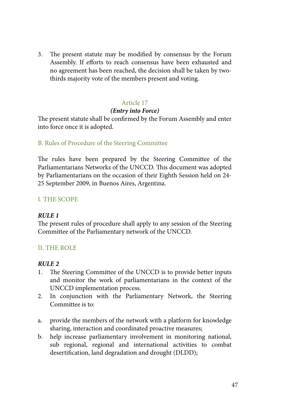3. The present statute may be modified by consensus by the Forum Assembly. If efforts to reach consensus have been exhausted and no agreement has been reached, the decision shall be taken by twothirds majority vote of the members present and voting.

## Article 17

#### *(Entry into Force)*

The present statute shall be confirmed by the Forum Assembly and enter into force once it is adopted.

## B. Rules of Procedure of the Steering Committee

The rules have been prepared by the Steering Committee of the Parliamentarians Networks of the UNCCD. This document was adopted by Parliamentarians on the occasion of their Eighth Session held on 24- 25 September 2009, in Buenos Aires, Argentina.

## I. THE SCOPE

## *RULE 1*

The present rules of procedure shall apply to any session of the Steering Committee of the Parliamentary network of the UNCCD.

## II. THE ROLE

- 1. The Steering Committee of the UNCCD is to provide better inputs and monitor the work of parliamentarians in the context of the UNCCD implementation process.
- 2. In conjunction with the Parliamentary Network, the Steering Committee is to:
- a. provide the members of the network with a platform for knowledge sharing, interaction and coordinated proactive measures;
- b. help increase parliamentary involvement in monitoring national, sub regional, regional and international activities to combat desertification, land degradation and drought (DLDD);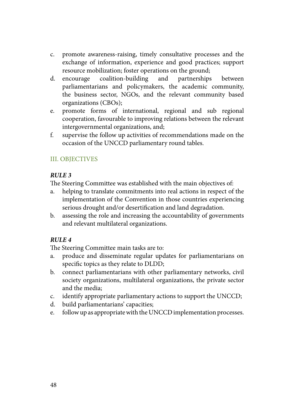- c. promote awareness-raising, timely consultative processes and the exchange of information, experience and good practices; support resource mobilization; foster operations on the ground;
- d. encourage coalition-building and partnerships between parliamentarians and policymakers, the academic community, the business sector, NGOs, and the relevant community based organizations (CBOs);
- e. promote forms of international, regional and sub regional cooperation, favourable to improving relations between the relevant intergovernmental organizations, and;
- f. supervise the follow up activities of recommendations made on the occasion of the UNCCD parliamentary round tables.

## III. OBJECTIVES

## *RULE 3*

The Steering Committee was established with the main objectives of:

- a. helping to translate commitments into real actions in respect of the implementation of the Convention in those countries experiencing serious drought and/or desertification and land degradation.
- b. assessing the role and increasing the accountability of governments and relevant multilateral organizations.

## *RULE 4*

The Steering Committee main tasks are to:

- a. produce and disseminate regular updates for parliamentarians on specific topics as they relate to DLDD;
- b. connect parliamentarians with other parliamentary networks, civil society organizations, multilateral organizations, the private sector and the media;
- c. identify appropriate parliamentary actions to support the UNCCD;
- d. build parliamentarians' capacities;
- e. follow up as appropriate with the UNCCD implementation processes.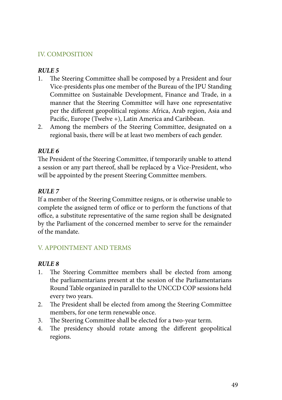## IV. COMPOSITION

#### *RULE 5*

- 1. The Steering Committee shall be composed by a President and four Vice-presidents plus one member of the Bureau of the IPU Standing Committee on Sustainable Development, Finance and Trade, in a manner that the Steering Committee will have one representative per the different geopolitical regions: Africa, Arab region, Asia and Pacific, Europe (Twelve +), Latin America and Caribbean.
- 2. Among the members of the Steering Committee, designated on a regional basis, there will be at least two members of each gender.

## *RULE 6*

The President of the Steering Committee, if temporarily unable to attend a session or any part thereof, shall be replaced by a Vice-President, who will be appointed by the present Steering Committee members.

## *RULE 7*

If a member of the Steering Committee resigns, or is otherwise unable to complete the assigned term of office or to perform the functions of that office, a substitute representative of the same region shall be designated by the Parliament of the concerned member to serve for the remainder of the mandate.

## V. APPOINTMENT AND TERMS

- 1. The Steering Committee members shall be elected from among the parliamentarians present at the session of the Parliamentarians Round Table organized in parallel to the UNCCD COP sessions held every two years.
- 2. The President shall be elected from among the Steering Committee members, for one term renewable once.
- 3. The Steering Committee shall be elected for a two-year term.
- 4. The presidency should rotate among the different geopolitical regions.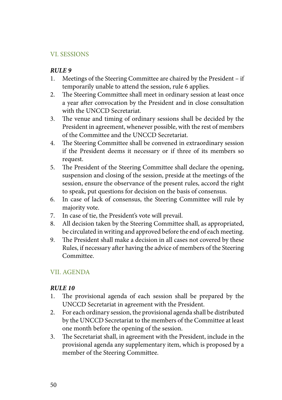## VI. SESSIONS

#### *RULE 9*

- 1. Meetings of the Steering Committee are chaired by the President if temporarily unable to attend the session, rule 6 applies.
- 2. The Steering Committee shall meet in ordinary session at least once a year after convocation by the President and in close consultation with the UNCCD Secretariat.
- 3. The venue and timing of ordinary sessions shall be decided by the President in agreement, whenever possible, with the rest of members of the Committee and the UNCCD Secretariat.
- 4. The Steering Committee shall be convened in extraordinary session if the President deems it necessary or if three of its members so request.
- 5. The President of the Steering Committee shall declare the opening, suspension and closing of the session, preside at the meetings of the session, ensure the observance of the present rules, accord the right to speak, put questions for decision on the basis of consensus.
- 6. In case of lack of consensus, the Steering Committee will rule by majority vote.
- 7. In case of tie, the President's vote will prevail.
- 8. All decision taken by the Steering Committee shall, as appropriated, be circulated in writing and approved before the end of each meeting.
- 9. The President shall make a decision in all cases not covered by these Rules, if necessary after having the advice of members of the Steering Committee.

## VII. AGENDA

- 1. The provisional agenda of each session shall be prepared by the UNCCD Secretariat in agreement with the President.
- 2. For each ordinary session, the provisional agenda shall be distributed by the UNCCD Secretariat to the members of the Committee at least one month before the opening of the session.
- 3. The Secretariat shall, in agreement with the President, include in the provisional agenda any supplementary item, which is proposed by a member of the Steering Committee.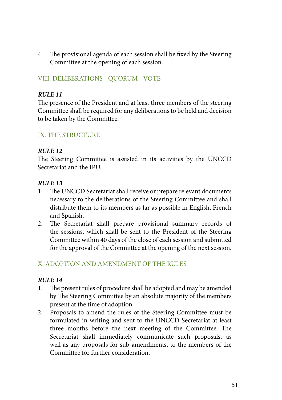4. The provisional agenda of each session shall be fixed by the Steering Committee at the opening of each session.

## VIII. DELIBERATIONS - QUORUM - VOTE

#### *RULE 11*

The presence of the President and at least three members of the steering Committee shall be required for any deliberations to be held and decision to be taken by the Committee.

## IX. THE STRUCTURE

#### *RULE 12*

The Steering Committee is assisted in its activities by the UNCCD Secretariat and the IPU.

#### *RULE 13*

- 1. The UNCCD Secretariat shall receive or prepare relevant documents necessary to the deliberations of the Steering Committee and shall distribute them to its members as far as possible in English, French and Spanish.
- 2. The Secretariat shall prepare provisional summary records of the sessions, which shall be sent to the President of the Steering Committee within 40 days of the close of each session and submitted for the approval of the Committee at the opening of the next session.

## X. ADOPTION AND AMENDMENT OF THE RULES

- 1. The present rules of procedure shall be adopted and may be amended by The Steering Committee by an absolute majority of the members present at the time of adoption.
- 2. Proposals to amend the rules of the Steering Committee must be formulated in writing and sent to the UNCCD Secretariat at least three months before the next meeting of the Committee. The Secretariat shall immediately communicate such proposals, as well as any proposals for sub-amendments, to the members of the Committee for further consideration.